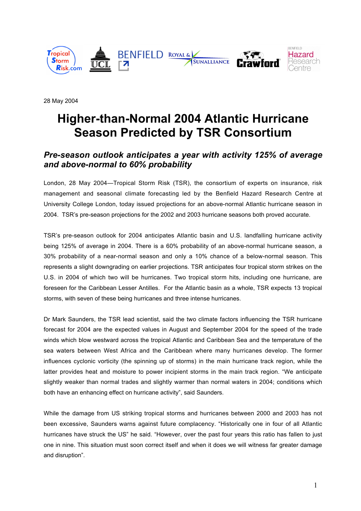

28 May 2004

# **Higher-than-Normal 2004 Atlantic Hurricane Season Predicted by TSR Consortium**

## *Pre-season outlook anticipates a year with activity 125% of average and above-normal to 60% probability*

London, 28 May 2004—Tropical Storm Risk (TSR), the consortium of experts on insurance, risk management and seasonal climate forecasting led by the Benfield Hazard Research Centre at University College London, today issued projections for an above-normal Atlantic hurricane season in 2004. TSR's pre-season projections for the 2002 and 2003 hurricane seasons both proved accurate.

TSR's pre-season outlook for 2004 anticipates Atlantic basin and U.S. landfalling hurricane activity being 125% of average in 2004. There is a 60% probability of an above-normal hurricane season, a 30% probability of a near-normal season and only a 10% chance of a below-normal season. This represents a slight downgrading on earlier projections. TSR anticipates four tropical storm strikes on the U.S. in 2004 of which two will be hurricanes. Two tropical storm hits, including one hurricane, are foreseen for the Caribbean Lesser Antilles. For the Atlantic basin as a whole, TSR expects 13 tropical storms, with seven of these being hurricanes and three intense hurricanes.

Dr Mark Saunders, the TSR lead scientist, said the two climate factors influencing the TSR hurricane forecast for 2004 are the expected values in August and September 2004 for the speed of the trade winds which blow westward across the tropical Atlantic and Caribbean Sea and the temperature of the sea waters between West Africa and the Caribbean where many hurricanes develop. The former influences cyclonic vorticity (the spinning up of storms) in the main hurricane track region, while the latter provides heat and moisture to power incipient storms in the main track region. "We anticipate slightly weaker than normal trades and slightly warmer than normal waters in 2004; conditions which both have an enhancing effect on hurricane activity", said Saunders.

While the damage from US striking tropical storms and hurricanes between 2000 and 2003 has not been excessive, Saunders warns against future complacency. "Historically one in four of all Atlantic hurricanes have struck the US" he said. "However, over the past four years this ratio has fallen to just one in nine. This situation must soon correct itself and when it does we will witness far greater damage and disruption".